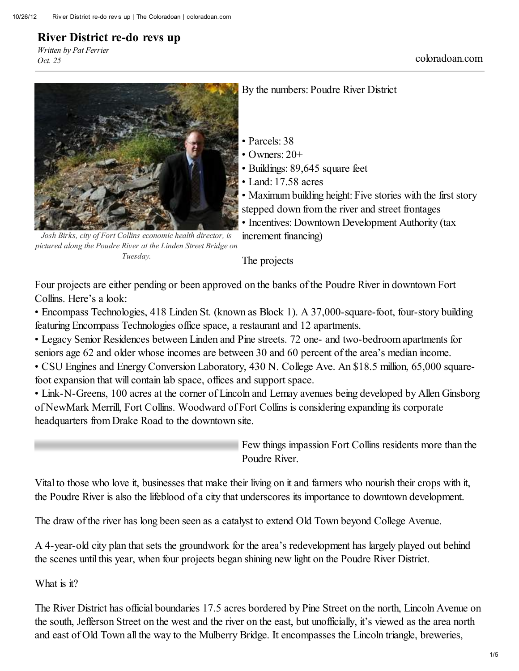## River District re-do revs up

*Written by Pat Ferrier Oct. <sup>25</sup>* coloradoan.com



By the numbers: Poudre River District

- Parcels: 38
- Owners:  $20+$
- Buildings: 89,645 square feet
- Land: 17.58 acres

• Maximum building height: Five stories with the first story stepped down from the river and street frontages

• Incentives: Downtown Development Authority (tax increment financing)

*Josh Birks, city of Fort Collins economic health director, is pictured along the Poudre River at the Linden Street Bridge on Tuesday.*

The projects

Four projects are either pending or been approved on the banks of the Poudre River in downtown Fort Collins. Here's a look:

• Encompass Technologies, 418 Linden St. (known as Block 1). A 37,000-square-foot, four-story building featuring Encompass Technologies office space, a restaurant and 12 apartments.

• Legacy Senior Residences between Linden and Pine streets. 72 one- and two-bedroom apartments for seniors age 62 and older whose incomes are between 30 and 60 percent of the area's median income. • CSU Engines and Energy Conversion Laboratory, 430 N. College Ave. An \$18.5 million, 65,000 squarefoot expansion that will contain lab space, offices and support space.

• Link-N-Greens, 100 acres at the corner of Lincoln and Lemay avenues being developed by Allen Ginsborg of NewMark Merrill, Fort Collins. Woodward of Fort Collins is considering expanding its corporate headquarters from Drake Road to the downtown site.

> Few things impassion Fort Collins residents more than the Poudre River.

Vital to those who love it, businesses that make their living on it and farmers who nourish their crops with it, the Poudre River is also the lifeblood of a city that underscores its importance to downtown development.

The draw of the river has long been seen as a catalyst to extend Old Town beyond College Avenue.

A 4-year-old city plan that sets the groundwork for the area's redevelopment has largely played out behind the scenes until this year, when four projects began shining new light on the Poudre River District.

What is it?

The River District has official boundaries 17.5 acres bordered by Pine Street on the north, Lincoln Avenue on the south, Jefferson Street on the west and the river on the east, but unofficially, it's viewed as the area north and east of Old Town all the way to the Mulberry Bridge. It encompasses the Lincoln triangle, breweries,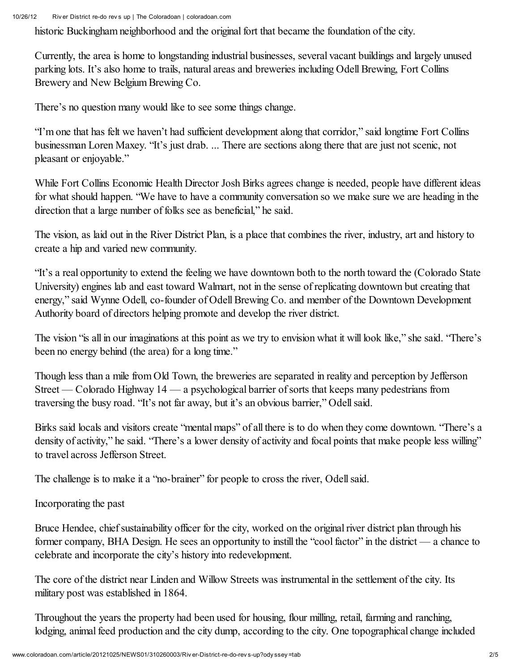historic Buckingham neighborhood and the original fort that became the foundation of the city.

Currently, the area is home to longstanding industrial businesses, several vacant buildings and largely unused parking lots. It's also home to trails, natural areas and breweries including Odell Brewing, Fort Collins Brewery and New Belgium Brewing Co.

There's no question many would like to see some things change.

"I'm one that has felt we haven't had sufficient development along that corridor," said longtime Fort Collins businessman Loren Maxey. "It's just drab. ... There are sections along there that are just not scenic, not pleasant or enjoyable."

While Fort Collins Economic Health Director Josh Birks agrees change is needed, people have different ideas for what should happen. "We have to have a community conversation so we make sure we are heading in the direction that a large number of folks see as beneficial," he said.

The vision, as laid out in the River District Plan, is a place that combines the river, industry, art and history to create a hip and varied new community.

"It's a real opportunity to extend the feeling we have downtown both to the north toward the (Colorado State University) engines lab and east toward Walmart, not in the sense of replicating downtown but creating that energy," said Wynne Odell, co-founder of Odell Brewing Co. and member of the Downtown Development Authority board of directors helping promote and develop the river district.

The vision "is all in our imaginations at this point as we try to envision what it will look like," she said. "There's been no energy behind (the area) for a long time."

Though less than a mile from Old Town, the breweries are separated in reality and perception by Jefferson Street — Colorado Highway  $14$  — a psychological barrier of sorts that keeps many pedestrians from traversing the busy road. "It's not far away, but it's an obvious barrier," Odellsaid.

Birks said locals and visitors create "mental maps" of all there is to do when they come downtown. "There's a density of activity," he said. "There's a lower density of activity and focal points that make people less willing" to travel across Jefferson Street.

The challenge is to make it a "no-brainer" for people to cross the river, Odell said.

Incorporating the past

Bruce Hendee, chief sustainability officer for the city, worked on the original river district plan through his former company, BHA Design. He sees an opportunity to instill the "cool factor" in the district — a chance to celebrate and incorporate the city's history into redevelopment.

The core of the district near Linden and Willow Streets was instrumental in the settlement of the city. Its military post was established in 1864.

Throughout the years the property had been used for housing, flour milling, retail, farming and ranching, lodging, animal feed production and the city dump, according to the city. One topographical change included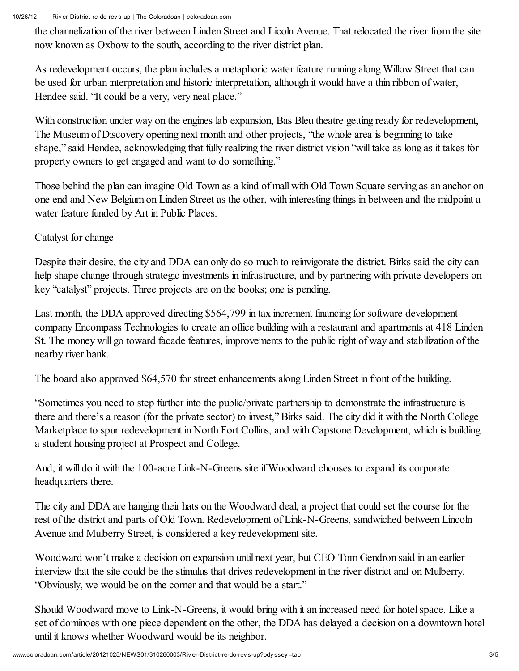10/26/12 Riv er District re-do rev s up | The Coloradoan | coloradoan.com

the channelization of the river between Linden Street and Licoln Avenue. That relocated the river from the site now known as Oxbow to the south, according to the river district plan.

As redevelopment occurs, the plan includes a metaphoric water feature running along Willow Street that can be used for urban interpretation and historic interpretation, although it would have a thin ribbon of water, Hendee said. "It could be a very, very neat place."

With construction under way on the engines lab expansion, Bas Bleu theatre getting ready for redevelopment, The Museum of Discovery opening next month and other projects, "the whole area is beginning to take shape," said Hendee, acknowledging that fully realizing the river district vision "will take as long as it takes for property owners to get engaged and want to do something."

Those behind the plan can imagine Old Town as a kind of mall with Old Town Square serving as an anchor on one end and New Belgium on Linden Street as the other, with interesting things in between and the midpoint a water feature funded by Art in Public Places.

Catalyst for change

Despite their desire, the city and DDA can only do so much to reinvigorate the district. Birks said the city can help shape change through strategic investments in infrastructure, and by partnering with private developers on key "catalyst" projects. Three projects are on the books; one is pending.

Last month, the DDA approved directing \$564,799 in tax increment financing for software development company Encompass Technologies to create an office building with a restaurant and apartments at 418 Linden St. The money will go toward facade features, improvements to the public right of way and stabilization of the nearby river bank.

The board also approved \$64,570 for street enhancements along Linden Street in front of the building.

"Sometimes you need to step further into the public/private partnership to demonstrate the infrastructure is there and there's a reason (for the private sector) to invest," Birks said. The city did it with the North College Marketplace to spur redevelopment in North Fort Collins, and with Capstone Development, which is building a student housing project at Prospect and College.

And, it will do it with the 100-acre Link-N-Greens site if Woodward chooses to expand its corporate headquarters there.

The city and DDA are hanging their hats on the Woodward deal, a project that could set the course for the rest of the district and parts of Old Town. Redevelopment of Link-N-Greens, sandwiched between Lincoln Avenue and Mulberry Street, is considered a key redevelopment site.

Woodward won't make a decision on expansion until next year, but CEO Tom Gendron said in an earlier interview that the site could be the stimulus that drives redevelopment in the river district and on Mulberry. "Obviously, we would be on the corner and that would be a start."

Should Woodward move to Link-N-Greens, it would bring with it an increased need for hotel space. Like a set of dominoes with one piece dependent on the other, the DDA has delayed a decision on a downtown hotel until it knows whether Woodward would be its neighbor.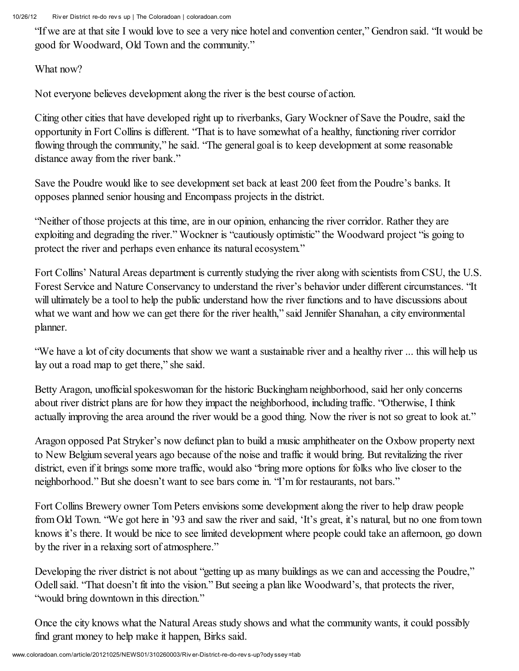10/26/12 Riv er District re-do rev s up | The Coloradoan | coloradoan.com

"If we are at that site I would love to see a very nice hotel and convention center," Gendron said. "It would be good for Woodward, Old Town and the community."

What now?

Not everyone believes development along the river is the best course of action.

Citing other cities that have developed right up to riverbanks, Gary Wockner of Save the Poudre, said the opportunity in Fort Collins is different. "That is to have somewhat of a healthy, functioning river corridor flowing through the community," he said. "The general goal is to keep development at some reasonable distance away from the river bank."

Save the Poudre would like to see development set back at least 200 feet from the Poudre's banks. It opposes planned senior housing and Encompass projects in the district.

"Neither of those projects at this time, are in our opinion, enhancing the river corridor. Rather they are exploiting and degrading the river." Wockner is "cautiously optimistic" the Woodward project "is going to protect the river and perhaps even enhance its natural ecosystem."

Fort Collins' Natural Areas department is currently studying the river along with scientists from CSU, the U.S. Forest Service and Nature Conservancy to understand the river's behavior under different circumstances. "It will ultimately be a tool to help the public understand how the river functions and to have discussions about what we want and how we can get there for the river health," said Jennifer Shanahan, a city environmental planner.

"We have a lot of city documents that show we want a sustainable river and a healthy river ... this will help us lay out a road map to get there," she said.

Betty Aragon, unofficial spokeswoman for the historic Buckingham neighborhood, said her only concerns about river district plans are for how they impact the neighborhood, including traffic. "Otherwise, I think actually improving the area around the river would be a good thing. Now the river is not so great to look at."

Aragon opposed Pat Stryker's now defunct plan to build a music amphitheater on the Oxbow property next to New Belgium several years ago because of the noise and traffic it would bring. But revitalizing the river district, even if it brings some more traffic, would also "bring more options for folks who live closer to the neighborhood." But she doesn't want to see bars come in. "I'm for restaurants, not bars."

Fort Collins Brewery owner Tom Peters envisions some development along the river to help draw people from Old Town. "We got here in '93 and saw the river and said, 'It's great, it's natural, but no one from town knows it's there. It would be nice to see limited development where people could take an afternoon, go down by the river in a relaxing sort of atmosphere."

Developing the river district is not about "getting up as many buildings as we can and accessing the Poudre," Odell said. "That doesn't fit into the vision." But seeing a plan like Woodward's, that protects the river, "would bring downtown in this direction."

Once the city knows what the Natural Areas study shows and what the community wants, it could possibly find grant money to help make it happen, Birks said.